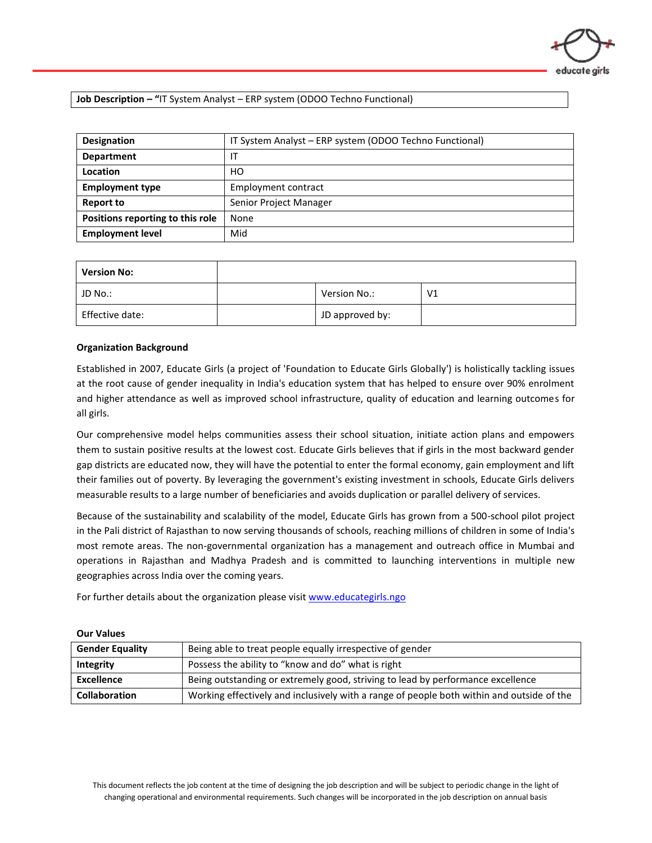## **Job Description – "**IT System Analyst – ERP system (ODOO Techno Functional)

| <b>Designation</b>               | IT System Analyst - ERP system (ODOO Techno Functional) |  |  |
|----------------------------------|---------------------------------------------------------|--|--|
| <b>Department</b>                |                                                         |  |  |
| Location                         | HО                                                      |  |  |
| <b>Employment type</b>           | Employment contract                                     |  |  |
| <b>Report to</b>                 | Senior Project Manager                                  |  |  |
| Positions reporting to this role | None                                                    |  |  |
| <b>Employment level</b>          | Mid                                                     |  |  |

| <b>Version No:</b> |                 |    |
|--------------------|-----------------|----|
| JD No.:            | Version No.:    | V1 |
| Effective date:    | JD approved by: |    |

#### **Organization Background**

Established in 2007, Educate Girls (a project of 'Foundation to Educate Girls Globally') is holistically tackling issues at the root cause of gender inequality in India's education system that has helped to ensure over 90% enrolment and higher attendance as well as improved school infrastructure, quality of education and learning outcomes for all girls.

Our comprehensive model helps communities assess their school situation, initiate action plans and empowers them to sustain positive results at the lowest cost. Educate Girls believes that if girls in the most backward gender gap districts are educated now, they will have the potential to enter the formal economy, gain employment and lift their families out of poverty. By leveraging the government's existing investment in schools, Educate Girls delivers measurable results to a large number of beneficiaries and avoids duplication or parallel delivery of services.

Because of the sustainability and scalability of the model, Educate Girls has grown from a 500-school pilot project in the Pali district of Rajasthan to now serving thousands of schools, reaching millions of children in some of India's most remote areas. The non-governmental organization has a management and outreach office in Mumbai and operations in Rajasthan and Madhya Pradesh and is committed to launching interventions in multiple new geographies across India over the coming years.

For further details about the organization please visit [www.educategirls.ngo](http://www.educategirls.ngo/)

#### **Our Values**

| <b>Gender Equality</b> | Being able to treat people equally irrespective of gender                                 |  |
|------------------------|-------------------------------------------------------------------------------------------|--|
| Integrity              | Possess the ability to "know and do" what is right                                        |  |
| Excellence             | Being outstanding or extremely good, striving to lead by performance excellence           |  |
| <b>Collaboration</b>   | Working effectively and inclusively with a range of people both within and outside of the |  |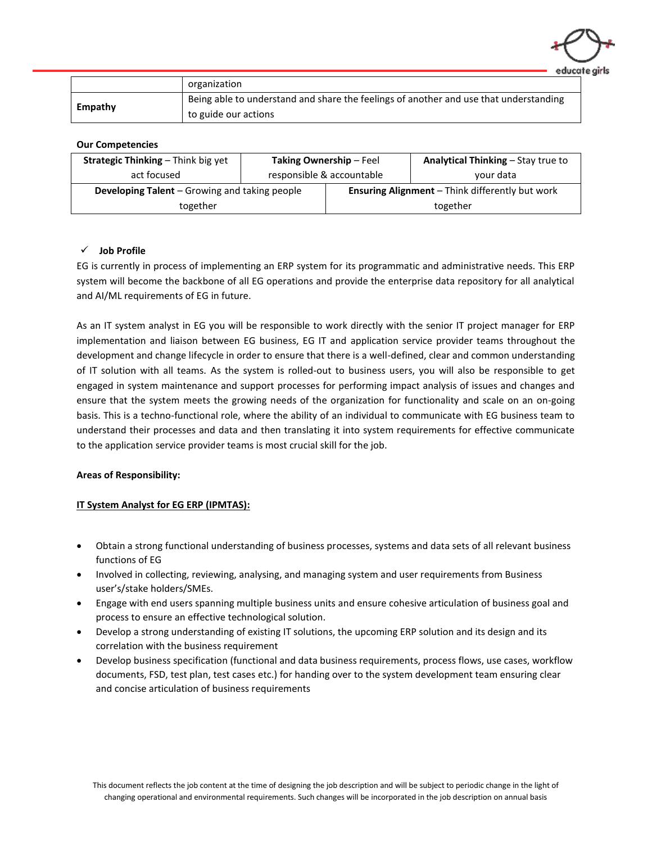

|         | organization                                                                          |
|---------|---------------------------------------------------------------------------------------|
| Empathy | Being able to understand and share the feelings of another and use that understanding |
|         | to guide our actions                                                                  |

#### **Our Competencies**

| <b>Strategic Thinking - Think big yet</b>     | Taking Ownership - Feel   |                                                        | Analytical Thinking - Stay true to |
|-----------------------------------------------|---------------------------|--------------------------------------------------------|------------------------------------|
| act focused                                   | responsible & accountable |                                                        | your data                          |
| Developing Talent - Growing and taking people |                           | <b>Ensuring Alignment</b> - Think differently but work |                                    |
| together                                      |                           |                                                        | together                           |

# ✓ **Job Profile**

EG is currently in process of implementing an ERP system for its programmatic and administrative needs. This ERP system will become the backbone of all EG operations and provide the enterprise data repository for all analytical and AI/ML requirements of EG in future.

As an IT system analyst in EG you will be responsible to work directly with the senior IT project manager for ERP implementation and liaison between EG business, EG IT and application service provider teams throughout the development and change lifecycle in order to ensure that there is a well-defined, clear and common understanding of IT solution with all teams. As the system is rolled-out to business users, you will also be responsible to get engaged in system maintenance and support processes for performing impact analysis of issues and changes and ensure that the system meets the growing needs of the organization for functionality and scale on an on-going basis. This is a techno-functional role, where the ability of an individual to communicate with EG business team to understand their processes and data and then translating it into system requirements for effective communicate to the application service provider teams is most crucial skill for the job.

## **Areas of Responsibility:**

## **IT System Analyst for EG ERP (IPMTAS):**

- Obtain a strong functional understanding of business processes, systems and data sets of all relevant business functions of EG
- Involved in collecting, reviewing, analysing, and managing system and user requirements from Business user's/stake holders/SMEs.
- Engage with end users spanning multiple business units and ensure cohesive articulation of business goal and process to ensure an effective technological solution.
- Develop a strong understanding of existing IT solutions, the upcoming ERP solution and its design and its correlation with the business requirement
- Develop business specification (functional and data business requirements, process flows, use cases, workflow documents, FSD, test plan, test cases etc.) for handing over to the system development team ensuring clear and concise articulation of business requirements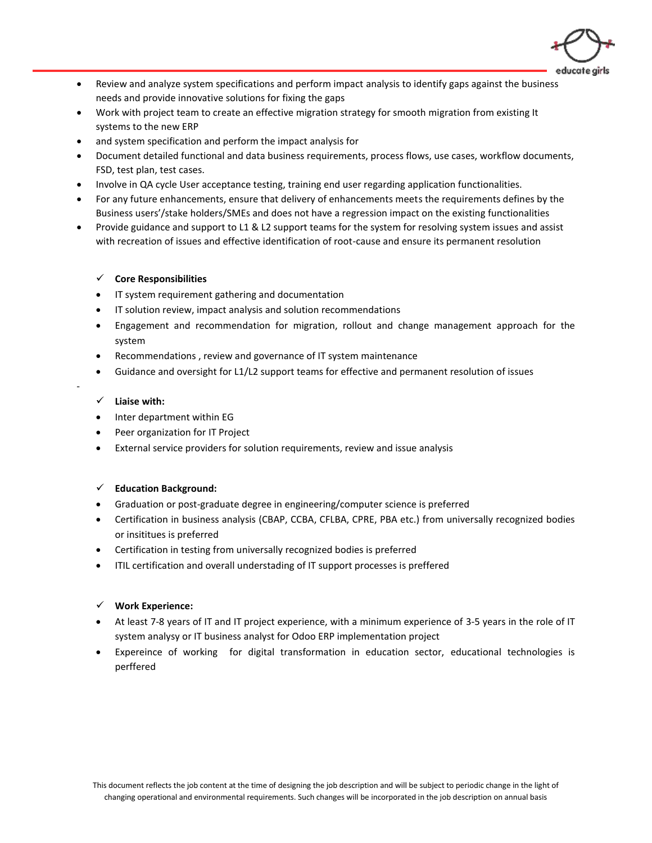

- Review and analyze system specifications and perform impact analysis to identify gaps against the business needs and provide innovative solutions for fixing the gaps
- Work with project team to create an effective migration strategy for smooth migration from existing It systems to the new ERP
- and system specification and perform the impact analysis for
- Document detailed functional and data business requirements, process flows, use cases, workflow documents, FSD, test plan, test cases.
- Involve in QA cycle User acceptance testing, training end user regarding application functionalities.
- For any future enhancements, ensure that delivery of enhancements meets the requirements defines by the Business users'/stake holders/SMEs and does not have a regression impact on the existing functionalities
- Provide guidance and support to L1 & L2 support teams for the system for resolving system issues and assist with recreation of issues and effective identification of root-cause and ensure its permanent resolution

## ✓ **Core Responsibilities**

- IT system requirement gathering and documentation
- IT solution review, impact analysis and solution recommendations
- Engagement and recommendation for migration, rollout and change management approach for the system
- Recommendations , review and governance of IT system maintenance
- Guidance and oversight for L1/L2 support teams for effective and permanent resolution of issues

### ✓ **Liaise with:**

-

- Inter department within EG
- Peer organization for IT Project
- External service providers for solution requirements, review and issue analysis

#### ✓ **Education Background:**

- Graduation or post-graduate degree in engineering/computer science is preferred
- Certification in business analysis (CBAP, CCBA, CFLBA, CPRE, PBA etc.) from universally recognized bodies or insititues is preferred
- Certification in testing from universally recognized bodies is preferred
- ITIL certification and overall understading of IT support processes is preffered

#### ✓ **Work Experience:**

- At least 7-8 years of IT and IT project experience, with a minimum experience of 3-5 years in the role of IT system analysy or IT business analyst for Odoo ERP implementation project
- Expereince of working for digital transformation in education sector, educational technologies is perffered